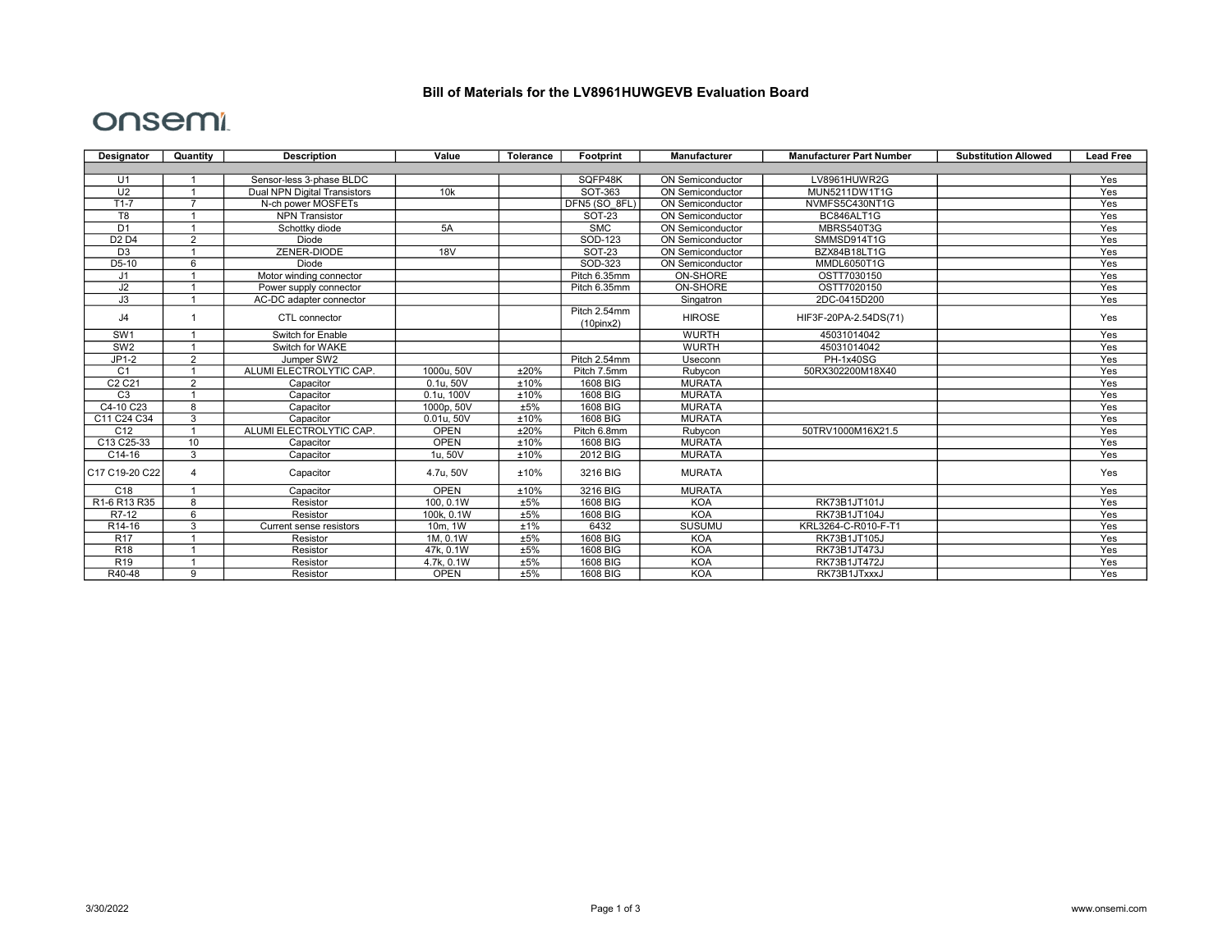## Bill of Materials for the LV8961HUWGEVB Evaluation Board

## onsemi

| Designator                     | Quantity       | <b>Description</b>                  | Value       | Tolerance | Footprint       | Manufacturer            | <b>Manufacturer Part Number</b> | <b>Substitution Allowed</b> | <b>Lead Free</b> |
|--------------------------------|----------------|-------------------------------------|-------------|-----------|-----------------|-------------------------|---------------------------------|-----------------------------|------------------|
|                                |                |                                     |             |           |                 |                         |                                 |                             |                  |
| U1                             |                | Sensor-less 3-phase BLDC            |             |           | SQFP48K         | <b>ON Semiconductor</b> | LV8961HUWR2G                    |                             | Yes              |
| U <sub>2</sub>                 |                | <b>Dual NPN Digital Transistors</b> | 10k         |           | SOT-363         | <b>ON Semiconductor</b> | MUN5211DW1T1G                   |                             | Yes              |
| $T1-7$                         |                | N-ch power MOSFETs                  |             |           | DFN5 (SO 8FL)   | <b>ON Semiconductor</b> | NVMFS5C430NT1G                  |                             | Yes              |
| T <sub>8</sub>                 |                | <b>NPN Transistor</b>               |             |           | <b>SOT-23</b>   | <b>ON Semiconductor</b> | BC846ALT1G                      |                             | Yes              |
| D1                             |                | Schottky diode                      | 5A          |           | <b>SMC</b>      | <b>ON Semiconductor</b> | MBRS540T3G                      |                             | Yes              |
| D <sub>2</sub> D <sub>4</sub>  | $\mathcal{P}$  | Diode                               |             |           | SOD-123         | <b>ON Semiconductor</b> | SMMSD914T1G                     |                             | Yes              |
| D <sub>3</sub>                 |                | ZENER-DIODE                         | <b>18V</b>  |           | SOT-23          | <b>ON Semiconductor</b> | BZX84B18LT1G                    |                             | Yes              |
| D <sub>5</sub> -10             | ĥ              | Diode                               |             |           | SOD-323         | <b>ON Semiconductor</b> | MMDL6050T1G                     |                             | Yes              |
| J1                             |                | Motor winding connector             |             |           | Pitch 6.35mm    | <b>ON-SHORE</b>         | OSTT7030150                     |                             | Yes              |
| J2                             |                | Power supply connector              |             |           | Pitch 6.35mm    | ON-SHORE                | OSTT7020150                     |                             | Yes              |
| J3                             |                | AC-DC adapter connector             |             |           |                 | Singatron               | 2DC-0415D200                    |                             | Yes              |
| J4                             |                | CTL connector                       |             |           | Pitch 2.54mm    | <b>HIROSE</b>           | HIF3F-20PA-2.54DS(71)           |                             | Yes              |
| SW1                            |                |                                     |             |           | $(10$ pinx $2)$ | <b>WURTH</b>            | 45031014042                     |                             | Yes              |
|                                |                | Switch for Enable                   |             |           |                 |                         |                                 |                             |                  |
| SW <sub>2</sub>                |                | Switch for WAKE                     |             |           |                 | <b>WURTH</b>            | 45031014042                     |                             | Yes              |
| $JP1-2$                        | $\overline{2}$ | Jumper SW2                          |             |           | Pitch 2.54mm    | Useconn                 | <b>PH-1x40SG</b>                |                             | Yes              |
| C <sub>1</sub>                 |                | ALUMI ELECTROLYTIC CAP.             | 1000u, 50V  | ±20%      | Pitch 7.5mm     | Rubycon                 | 50RX302200M18X40                |                             | Yes              |
| C <sub>2</sub> C <sub>21</sub> | 2              | Capacitor                           | 0.1u, 50V   | ±10%      | 1608 BIG        | <b>MURATA</b>           |                                 |                             | Yes              |
| C3                             |                | Capacitor                           | 0.1u, 100V  | ±10%      | 1608 BIG        | <b>MURATA</b>           |                                 |                             | Yes              |
| C4-10 C23                      | 8              | Capacitor                           | 1000p, 50V  | ±5%       | 1608 BIG        | <b>MURATA</b>           |                                 |                             | Yes              |
| C11 C24 C34                    | 3              | Capacitor                           | 0.01u.50V   | ±10%      | 1608 BIG        | <b>MURATA</b>           |                                 |                             | Yes              |
| C <sub>12</sub>                |                | ALUMI ELECTROLYTIC CAP.             | <b>OPEN</b> | ±20%      | Pitch 6.8mm     | Rubycon                 | 50TRV1000M16X21.5               |                             | Yes              |
| C13 C25-33                     | 10             | Capacitor                           | <b>OPEN</b> | ±10%      | 1608 BIG        | <b>MURATA</b>           |                                 |                             | Yes              |
| C14-16                         | 3              | Capacitor                           | 1u.50V      | ±10%      | 2012 BIG        | <b>MURATA</b>           |                                 |                             | Yes              |
| C17 C19-20 C22                 | $\overline{4}$ | Capacitor                           | 4.7u, 50V   | ±10%      | 3216 BIG        | <b>MURATA</b>           |                                 |                             | Yes              |
| C <sub>18</sub>                |                | Capacitor                           | <b>OPEN</b> | ±10%      | 3216 BIG        | <b>MURATA</b>           |                                 |                             | Yes              |
| R1-6 R13 R35                   | 8              | Resistor                            | 100.0.1W    | ±5%       | 1608 BIG        | <b>KOA</b>              | RK73B1JT101J                    |                             | Yes              |
| R7-12                          | 6              | Resistor                            | 100k, 0.1W  | ±5%       | 1608 BIG        | <b>KOA</b>              | RK73B1JT104J                    |                             | Yes              |
| R14-16                         | 3              | Current sense resistors             | 10m, 1W     | ±1%       | 6432            | <b>SUSUMU</b>           | KRL3264-C-R010-F-T1             |                             | Yes              |
| <b>R17</b>                     |                | Resistor                            | 1M, 0.1W    | ±5%       | 1608 BIG        | <b>KOA</b>              | RK73B1JT105J                    |                             | Yes              |
| <b>R18</b>                     |                | Resistor                            | 47k. 0.1W   | ±5%       | 1608 BIG        | <b>KOA</b>              | RK73B1JT473J                    |                             | Yes              |
| R <sub>19</sub>                |                | Resistor                            | 4.7k, 0.1W  | ±5%       | 1608 BIG        | <b>KOA</b>              | RK73B1JT472J                    |                             | Yes              |
| R40-48                         | 9              | Resistor                            | <b>OPEN</b> | ±5%       | 1608 BIG        | <b>KOA</b>              | RK73B1JTxxxJ                    |                             | Yes              |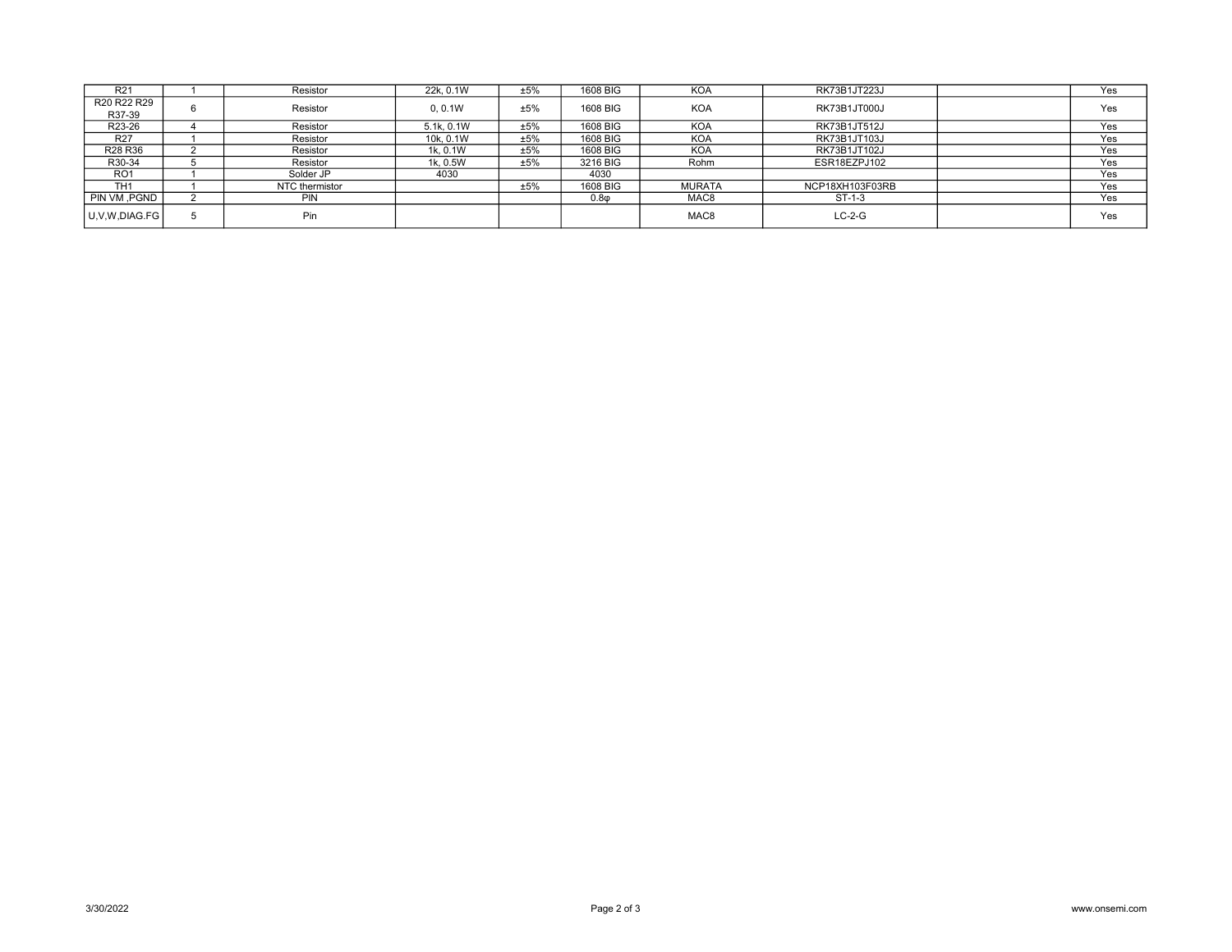| R <sub>21</sub>                 | Resistor       | 22k. 0.1W  | ±5% | 1608 BIG  | <b>KOA</b>       | RK73B1JT223J    | Yes |
|---------------------------------|----------------|------------|-----|-----------|------------------|-----------------|-----|
| R20 R22 R29                     | Resistor       | 0.0.1W     | ±5% | 1608 BIG  | <b>KOA</b>       | RK73B1JT000J    | Yes |
| R37-39                          |                |            |     |           |                  |                 |     |
| R23-26                          | Resistor       | 5.1k, 0.1W | ±5% | 1608 BIG  | <b>KOA</b>       | RK73B1JT512J    | Yes |
| R <sub>27</sub>                 | Resistor       | 10k. 0.1W  | ±5% | 1608 BIG  | <b>KOA</b>       | RK73B1JT103J    | Yes |
| R <sub>28</sub> R <sub>36</sub> | Resistor       | 1k. 0.1W   | ±5% | 1608 BIG  | <b>KOA</b>       | RK73B1JT102J    | Yes |
| R30-34                          | Resistor       | 1k. 0.5W   | ±5% | 3216 BIG  | Rohm             | ESR18EZPJ102    | Yes |
| RO <sub>1</sub>                 | Solder JP      | 4030       |     | 4030      |                  |                 | Yes |
| TH <sub>1</sub>                 | NTC thermistor |            | ±5% | 1608 BIG  | <b>MURATA</b>    | NCP18XH103F03RB | Yes |
| PIN VM, PGND                    | <b>PIN</b>     |            |     | $0.8\phi$ | MAC <sub>8</sub> | $ST-1-3$        | Yes |
| U.V.W.DIAG.FG                   | Pin            |            |     |           | MAC <sub>8</sub> | $LC-2-G$        | Yes |